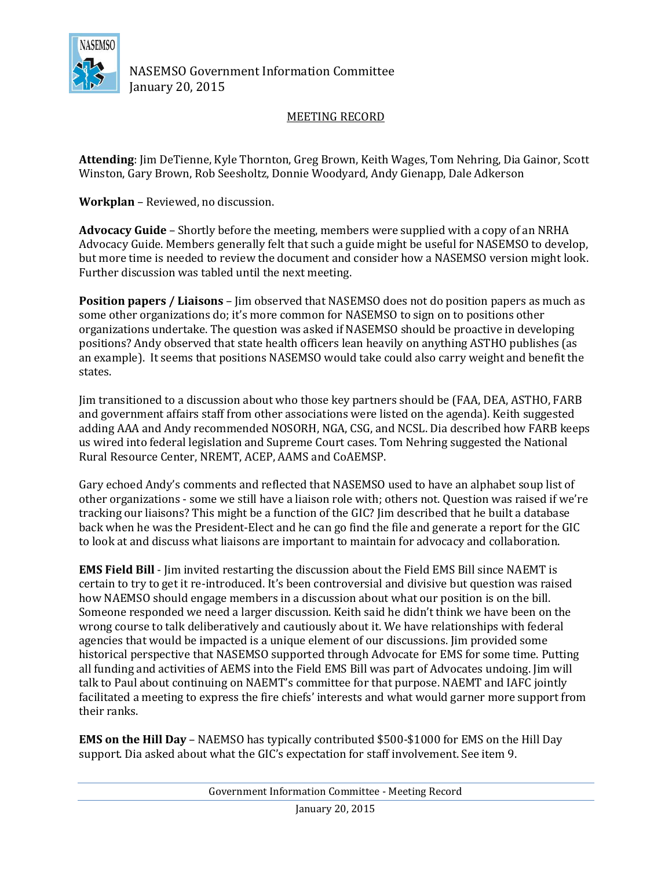

NASEMSO Government Information Committee January 20, 2015

## MEETING RECORD

**Attending**: Jim DeTienne, Kyle Thornton, Greg Brown, Keith Wages, Tom Nehring, Dia Gainor, Scott Winston, Gary Brown, Rob Seesholtz, Donnie Woodyard, Andy Gienapp, Dale Adkerson

**Workplan** – Reviewed, no discussion.

**Advocacy Guide** – Shortly before the meeting, members were supplied with a copy of an NRHA Advocacy Guide. Members generally felt that such a guide might be useful for NASEMSO to develop, but more time is needed to review the document and consider how a NASEMSO version might look. Further discussion was tabled until the next meeting.

**Position papers / Liaisons** – Jim observed that NASEMSO does not do position papers as much as some other organizations do; it's more common for NASEMSO to sign on to positions other organizations undertake. The question was asked if NASEMSO should be proactive in developing positions? Andy observed that state health officers lean heavily on anything ASTHO publishes (as an example). It seems that positions NASEMSO would take could also carry weight and benefit the states.

Jim transitioned to a discussion about who those key partners should be (FAA, DEA, ASTHO, FARB and government affairs staff from other associations were listed on the agenda). Keith suggested adding AAA and Andy recommended NOSORH, NGA, CSG, and NCSL. Dia described how FARB keeps us wired into federal legislation and Supreme Court cases. Tom Nehring suggested the National Rural Resource Center, NREMT, ACEP, AAMS and CoAEMSP.

Gary echoed Andy's comments and reflected that NASEMSO used to have an alphabet soup list of other organizations - some we still have a liaison role with; others not. Question was raised if we're tracking our liaisons? This might be a function of the GIC? Jim described that he built a database back when he was the President-Elect and he can go find the file and generate a report for the GIC to look at and discuss what liaisons are important to maintain for advocacy and collaboration.

**EMS Field Bill** - Jim invited restarting the discussion about the Field EMS Bill since NAEMT is certain to try to get it re-introduced. It's been controversial and divisive but question was raised how NAEMSO should engage members in a discussion about what our position is on the bill. Someone responded we need a larger discussion. Keith said he didn't think we have been on the wrong course to talk deliberatively and cautiously about it. We have relationships with federal agencies that would be impacted is a unique element of our discussions. Jim provided some historical perspective that NASEMSO supported through Advocate for EMS for some time. Putting all funding and activities of AEMS into the Field EMS Bill was part of Advocates undoing. Jim will talk to Paul about continuing on NAEMT's committee for that purpose. NAEMT and IAFC jointly facilitated a meeting to express the fire chiefs' interests and what would garner more support from their ranks.

**EMS on the Hill Day** – NAEMSO has typically contributed \$500-\$1000 for EMS on the Hill Day support. Dia asked about what the GIC's expectation for staff involvement. See item 9.